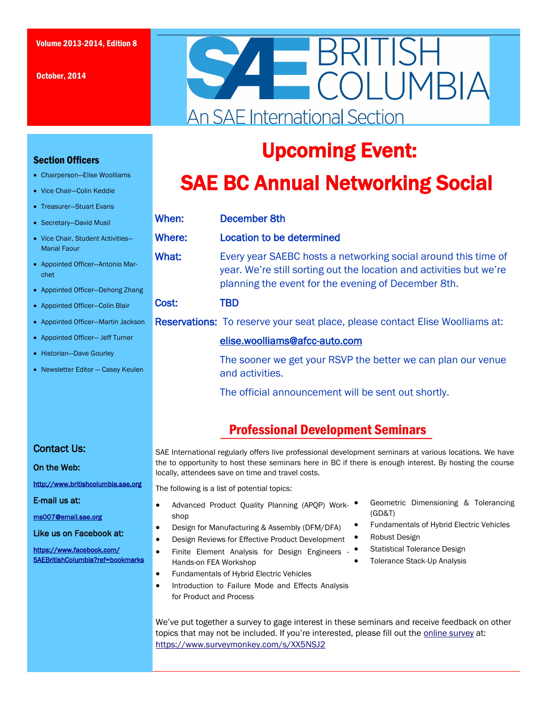October, 2014

Section Officers

Manal Faour

chet

 Chairperson—Elise Woolliams • Vice Chair-Colin Keddie Treasurer—Stuart Evans • Secretary-David Musil • Vice Chair, Student Activitie

• Appointed Officer-Antonio I

• Appointed Officer-Dehong • Appointed Officer-Colin Bla • Appointed Officer-Martin Ja • Appointed Officer- Jeff Turr • Historian-Dave Gourley • Newsletter Editor  $-$  Casey k



# Upcoming Event:

# SAE BC Annual Networking Social

|               | When:  | December 8th                                                                                                                                                                                 |
|---------------|--------|----------------------------------------------------------------------------------------------------------------------------------------------------------------------------------------------|
| $s-$          | Where: | Location to be determined                                                                                                                                                                    |
| Mar-<br>Zhang | What:  | Every year SAEBC hosts a networking social around this time of<br>year. We're still sorting out the location and activities but we're<br>planning the event for the evening of December 8th. |
| ir            | Cost:  | <b>TBD</b>                                                                                                                                                                                   |
| ackson        |        | <b>Reservations:</b> To reserve your seat place, please contact Elise Woolliams at:                                                                                                          |
| er            |        | elise.woolliams@afcc-auto.com                                                                                                                                                                |
| <b>Seulen</b> |        | The sooner we get your RSVP the better we can plan our venue<br>and activities.                                                                                                              |
|               |        | The official announcement will be sent out shortly.                                                                                                                                          |
|               |        |                                                                                                                                                                                              |

## Professional Development Seminars

#### Contact Us:

On the Web:

<http://www.britishcolumbia.sae.org>

E-mail us at:

[ms007@email.sae.org](mailto:ms007@email.sae.org) 

Like us on Facebook at:

[https://www.facebook.com/](https://www.facebook.com/SAEBritishColumbia?ref=bookmarks) [SAEBritishColumbia?ref=bookmarks](https://www.facebook.com/SAEBritishColumbia?ref=bookmarks)  SAE International regularly offers live professional development seminars at various locations. We have the to opportunity to host these seminars here in BC if there is enough interest. By hosting the course locally, attendees save on time and travel costs.

The following is a list of potential topics:

- Advanced Product Quality Planning (APQP) Workshop
- Design for Manufacturing & Assembly (DFM/DFA)
- Design Reviews for Effective Product Development
- Finite Element Analysis for Design Engineers Hands-on FEA Workshop
- Fundamentals of Hybrid Electric Vehicles
- Introduction to Failure Mode and Effects Analysis for Product and Process
- Geometric Dimensioning & Tolerancing (GD&T)
- Fundamentals of Hybrid Electric Vehicles
- Robust Design
- Statistical Tolerance Design
	- Tolerance Stack-Up Analysis

We've put together a survey to gage interest in these seminars and receive feedback on other topics that may not be included. If you're interested, please fill out the [online survey](https://www.surveymonkey.com/s/XX5NSJ2) at: <https://www.surveymonkey.com/s/XX5NSJ2>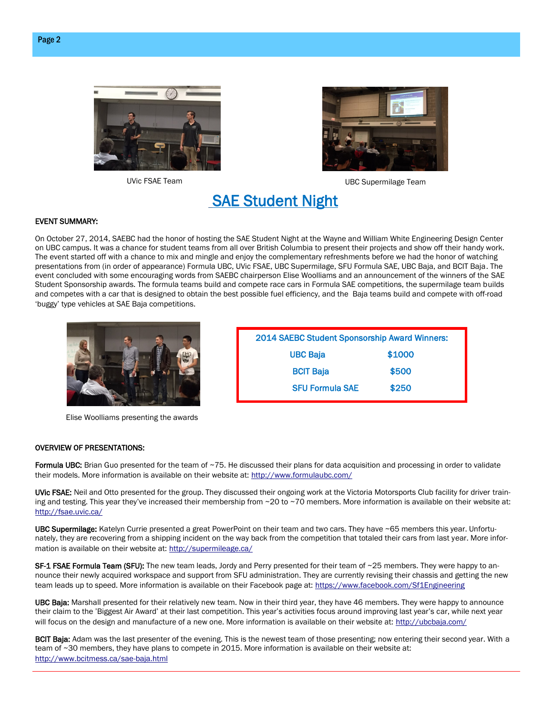





UVic FSAE Team and the state of the UBC Supermilage Team

2014 SAEBC Student Sponsorship Award Winners: UBC Baja \$1000 BCIT Baja **\$500** SFU Formula SAE \$250

## SAE Student Night

#### EVENT SUMMARY:

On October 27, 2014, SAEBC had the honor of hosting the SAE Student Night at the Wayne and William White Engineering Design Center on UBC campus. It was a chance for student teams from all over British Columbia to present their projects and show off their handy work. The event started off with a chance to mix and mingle and enjoy the complementary refreshments before we had the honor of watching presentations from (in order of appearance) Formula UBC, UVic FSAE, UBC Supermilage, SFU Formula SAE, UBC Baja, and BCIT Baja. The event concluded with some encouraging words from SAEBC chairperson Elise Woolliams and an announcement of the winners of the SAE Student Sponsorship awards. The formula teams build and compete race cars in Formula SAE competitions, the supermilage team builds and competes with a car that is designed to obtain the best possible fuel efficiency, and the Baja teams build and compete with off-road 'buggy' type vehicles at SAE Baja competitions.



Elise Woolliams presenting the awards

#### OVERVIEW OF PRESENTATIONS:

Formula UBC: Brian Guo presented for the team of ~75. He discussed their plans for data acquisition and processing in order to validate their models. More information is available on their website at:<http://www.formulaubc.com/>

UVic FSAE: Neil and Otto presented for the group. They discussed their ongoing work at the Victoria Motorsports Club facility for driver training and testing. This year they've increased their membership from  $\sim$ 20 to  $\sim$ 70 members. More information is available on their website at: <http://fsae.uvic.ca/>

UBC Supermilage: Katelyn Currie presented a great PowerPoint on their team and two cars. They have ~65 members this year. Unfortunately, they are recovering from a shipping incident on the way back from the competition that totaled their cars from last year. More information is available on their website at:<http://supermileage.ca/>

SF-1 FSAE Formula Team (SFU): The new team leads, Jordy and Perry presented for their team of ~25 members. They were happy to announce their newly acquired workspace and support from SFU administration. They are currently revising their chassis and getting the new team leads up to speed. More information is available on their Facebook page at: <https://www.facebook.com/Sf1Engineering>

UBC Baja: Marshall presented for their relatively new team. Now in their third year, they have 46 members. They were happy to announce their claim to the 'Biggest Air Award' at their last competition. This year's activities focus around improving last year's car, while next year will focus on the design and manufacture of a new one. More information is available on their website at: <http://ubcbaja.com/>

BCIT Baja: Adam was the last presenter of the evening. This is the newest team of those presenting; now entering their second year. With a team of ~30 members, they have plans to compete in 2015. More information is available on their website at: <http://www.bcitmess.ca/sae-baja.html>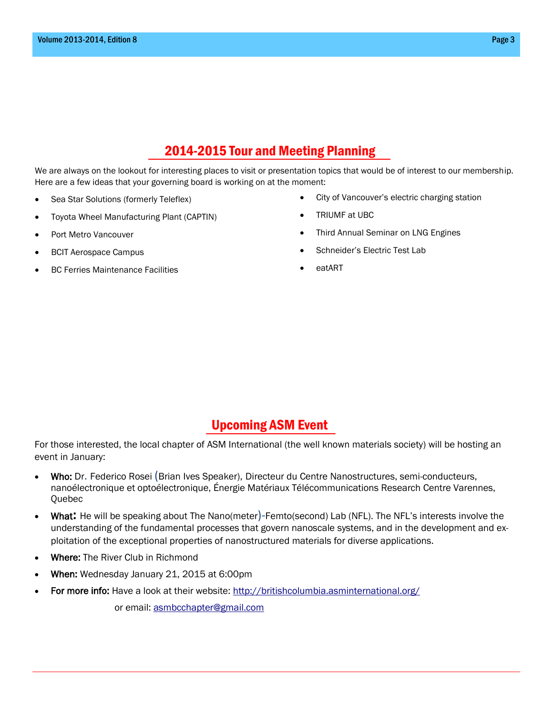## 2014-2015 Tour and Meeting Planning

We are always on the lookout for interesting places to visit or presentation topics that would be of interest to our membership. Here are a few ideas that your governing board is working on at the moment:

- Sea Star Solutions (formerly Teleflex)
- Toyota Wheel Manufacturing Plant (CAPTIN)
- Port Metro Vancouver
- BCIT Aerospace Campus
- BC Ferries Maintenance Facilities
- City of Vancouver's electric charging station
- TRIUMF at UBC
- Third Annual Seminar on LNG Engines
- Schneider's Electric Test Lab
- eatART

### Upcoming ASM Event

For those interested, the local chapter of ASM International (the well known materials society) will be hosting an event in January:

- Who: Dr. Federico Rosei (Brian Ives Speaker), Directeur du Centre Nanostructures, semi-conducteurs, nanoélectronique et optoélectronique, Énergie Matériaux Télécommunications Research Centre Varennes, Quebec
- What**:** He will be speaking about The Nano(meter)-Femto(second) Lab (NFL). The NFL's interests involve the understanding of the fundamental processes that govern nanoscale systems, and in the development and exploitation of the exceptional properties of nanostructured materials for diverse applications.
- Where: The River Club in Richmond
- When: Wednesday January 21, 2015 at 6:00pm
- For more info: Have a look at their website:<http://britishcolumbia.asminternational.org/>

or email: [asmbcchapter@gmail.com](mailto:asmbcchapter@gmail.com)